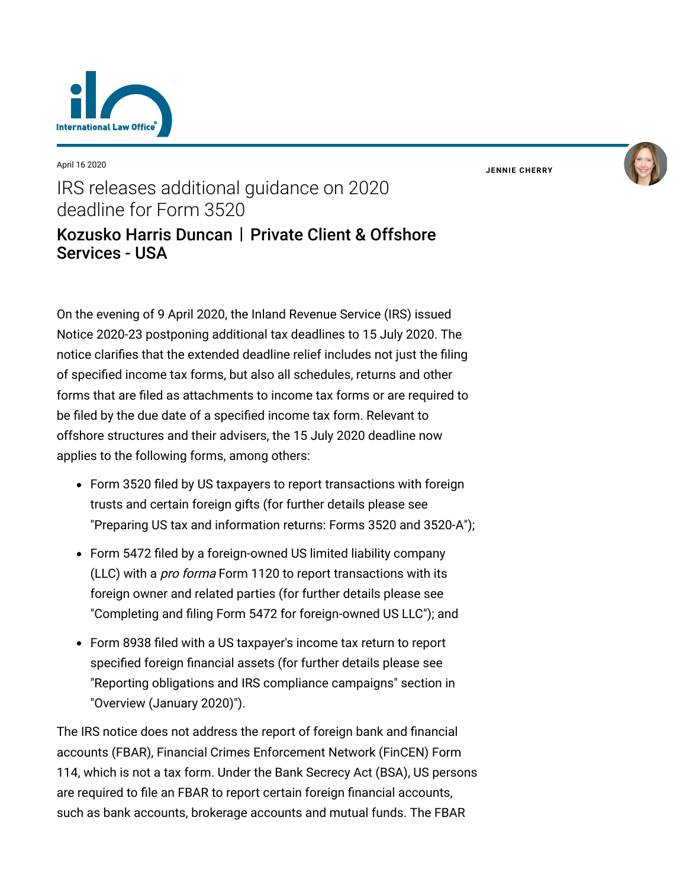

April 16 2020

**JENNIE [CHERRY](https://www.lexology.com/23364/author/Jennie_Cherry/)**

## IRS releases additional guidance on 2020 deadline for Form 3520 [Kozusko Harris Duncan](https://www.lexology.com/contributors/23364) | Private Client & Offshore Services - USA

On the evening of 9 April 2020, the Inland Revenue Service (IRS) issued Notice 2020-23 postponing additional tax deadlines to 15 July 2020. The notice clarifies that the extended deadline relief includes not just the filing of specified income tax forms, but also all schedules, returns and other forms that are filed as attachments to income tax forms or are required to be filed by the due date of a specified income tax form. Relevant to offshore structures and their advisers, the 15 July 2020 deadline now applies to the following forms, among others:

- Form 3520 filed by US taxpayers to report transactions with foreign trusts and certain foreign gifts (for further details please see ["Preparing US tax and information returns: Forms 3520 and 3520-A"](https://www.internationallawoffice.com/Newsletters/Private-Client-Offshore-Services/USA/Kozusko-Harris-Duncan/Preparing-US-tax-and-information-returns-Forms-3520-and-3520-A));
- Form 5472 filed by a foreign-owned US limited liability company (LLC) with a *pro forma* Form 1120 to report transactions with its foreign owner and related parties (for further details please see ["Completing and filing Form 5472 for foreign-owned US LLC"](https://www.internationallawoffice.com/Newsletters/Private-Client-Offshore-Services/USA/Kozusko-Harris-Duncan/Completing-and-filing-Form-5472-for-foreign-owned-US-LLC)); and
- Form 8938 filed with a US taxpayer's income tax return to report specified foreign financial assets (for further details please see ["Reporting obligations and IRS compliance campaigns"](https://www.internationallawoffice.com/Newsletters/Private-Client-Offshore-Services/USA/Kozusko-Harris-Duncan/Overview-January-2020#Reporting) section in ["Overview \(January 2020\)](https://www.internationallawoffice.com/Newsletters/Private-Client-Offshore-Services/USA/Kozusko-Harris-Duncan/Overview-January-2020)").

The IRS notice does not address the report of foreign bank and financial accounts (FBAR), Financial Crimes Enforcement Network (FinCEN) Form 114, which is not a tax form. Under the Bank Secrecy Act (BSA), US persons are required to file an FBAR to report certain foreign financial accounts, such as bank accounts, brokerage accounts and mutual funds. The FBAR